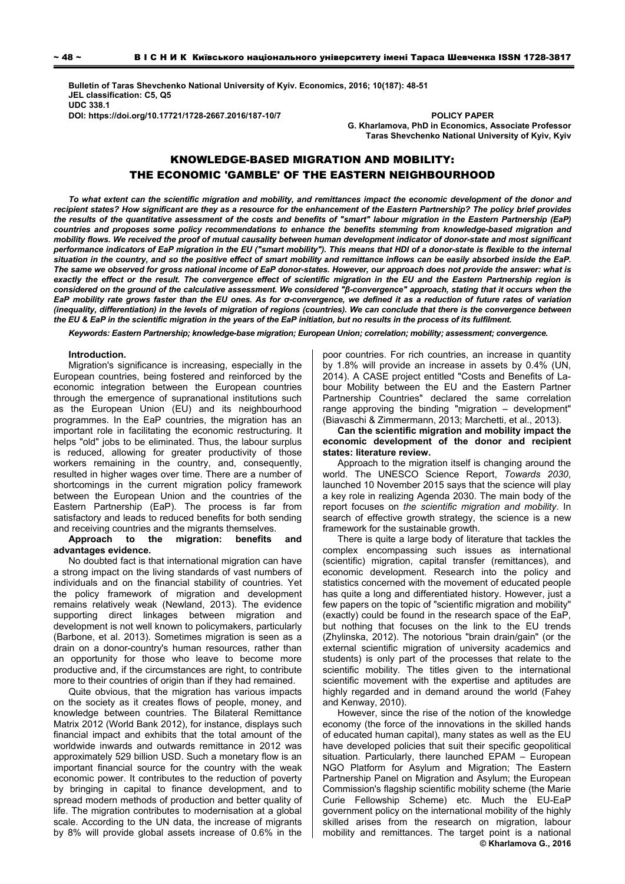**Bulletin of Taras Shevchenko National University of Kyiv. Economics, 2016; 10(187): 48-51 JEL classification: C5, Q5 UDC 338.1 DOI: https://doi.org/10.17721/1728-2667.2016/187-10/7 POLICY PAPER** 

**G. Kharlamova, PhD in Economics, Associate Рrofessor Taras Shevchenko National University of Kyiv, Kyiv** 

# KNOWLEDGE-BASED MIGRATION AND MOBILITY: THE ECONOMIC 'GAMBLE' OF THE EASTERN NEIGHBOURHOOD

*To what extent can the scientific migration and mobility, and remittances impact the economic development of the donor and recipient states? How significant are they as a resource for the enhancement of the Eastern Partnership? The policy brief provides the results of the quantitative assessment of the costs and benefits of "smart" labour migration in the Eastern Partnership (EaP) countries and proposes some policy recommendations to enhance the benefits stemming from knowledge-based migration and mobility flows. We received the proof of mutual causality between human development indicator of donor-state and most significant performance indicators of EaP migration in the EU ("smart mobility"). This means that HDI of a donor-state is flexible to the internal situation in the country, and so the positive effect of smart mobility and remittance inflows can be easily absorbed inside the EaP. The same we observed for gross national income of EaP donor-states. However, our approach does not provide the answer: what is*  exactly the effect or the result. The convergence effect of scientific migration in the EU and the Eastern Partnership region is *considered on the ground of the calculative assessment. We considered "β-convergence" approach, stating that it occurs when the EaP mobility rate grows faster than the EU ones. As for σ-convergence, we defined it as a reduction of future rates of variation (inequality, differentiation) in the levels of migration of regions (countries). We can conclude that there is the convergence between the EU & EaP in the scientific migration in the years of the EaP initiation, but no results in the process of its fulfilment.* 

*Keywords: Eastern Partnership; knowledge-base migration; European Union; correlation; mobility; assessment; convergence.* 

### **Introduction.**

Migration's significance is increasing, especially in the European countries, being fostered and reinforced by the economic integration between the European countries through the emergence of supranational institutions such as the European Union (EU) and its neighbourhood programmes. In the EaP countries, the migration has an important role in facilitating the economic restructuring. It helps "old" jobs to be eliminated. Thus, the labour surplus is reduced, allowing for greater productivity of those workers remaining in the country, and, consequently, resulted in higher wages over time. There are a number of shortcomings in the current migration policy framework between the European Union and the countries of the Eastern Partnership (EaP). The process is far from satisfactory and leads to reduced benefits for both sending and receiving countries and the migrants themselves.

## **Approach to the migration: benefits and advantages evidence.**

No doubted fact is that international migration can have a strong impact on the living standards of vast numbers of individuals and on the financial stability of countries. Yet the policy framework of migration and development remains relatively weak (Newland, 2013). The evidence supporting direct linkages between migration and development is not well known to policymakers, particularly (Barbone, et al. 2013). Sometimes migration is seen as a drain on a donor-country's human resources, rather than an opportunity for those who leave to become more productive and, if the circumstances are right, to contribute more to their countries of origin than if they had remained.

Quite obvious, that the migration has various impacts on the society as it creates flows of people, money, and knowledge between countries. The Bilateral Remittance Matrix 2012 (World Bank 2012), for instance, displays such financial impact and exhibits that the total amount of the worldwide inwards and outwards remittance in 2012 was approximately 529 billion USD. Such a monetary flow is an important financial source for the country with the weak economic power. It contributes to the reduction of poverty by bringing in capital to finance development, and to spread modern methods of production and better quality of life. The migration contributes to modernisation at a global scale. According to the UN data, the increase of migrants by 8% will provide global assets increase of 0.6% in the

poor countries. For rich countries, an increase in quantity by 1.8% will provide an increase in assets by 0.4% (UN, 2014). A CASE project entitled "Costs and Benefits of Labour Mobility between the EU and the Eastern Partner Partnership Countries" declared the same correlation range approving the binding "migration – development" (Biavaschi & Zimmermann, 2013; Marchetti, et al., 2013).

**Can the scientific migration and mobility impact the economic development of the donor and recipient states: literature review.** 

Approach to the migration itself is changing around the world. The UNESCO Science Report, *Towards 2030*, launched 10 November 2015 says that the science will play a key role in realizing Agenda 2030. The main body of the report focuses on *the scientific migration and mobility*. In search of effective growth strategy, the science is a new framework for the sustainable growth.

There is quite a large body of literature that tackles the complex encompassing such issues as international (scientific) migration, capital transfer (remittances), and economic development. Research into the policy and statistics concerned with the movement of educated people has quite a long and differentiated history. However, just a few papers on the topic of "scientific migration and mobility" (exactly) could be found in the research space of the EaP, but nothing that focuses on the link to the EU trends (Zhylinska, 2012). The notorious "brain drain/gain" (or the external scientific migration of university academics and students) is only part of the processes that relate to the scientific mobility. The titles given to the international scientific movement with the expertise and aptitudes are highly regarded and in demand around the world (Fahey and Kenway, 2010).

However, since the rise of the notion of the knowledge economy (the force of the innovations in the skilled hands of educated human capital), many states as well as the EU have developed policies that suit their specific geopolitical situation. Particularly, there launched EPAM – European NGO Platform for Asylum and Migration; The Eastern Partnership Panel on Migration and Asylum; the European Commission's flagship scientific mobility scheme (the Marie Curie Fellowship Scheme) etc. Much the EU-EaP government policy on the international mobility of the highly skilled arises from the research on migration, labour mobility and remittances. The target point is a national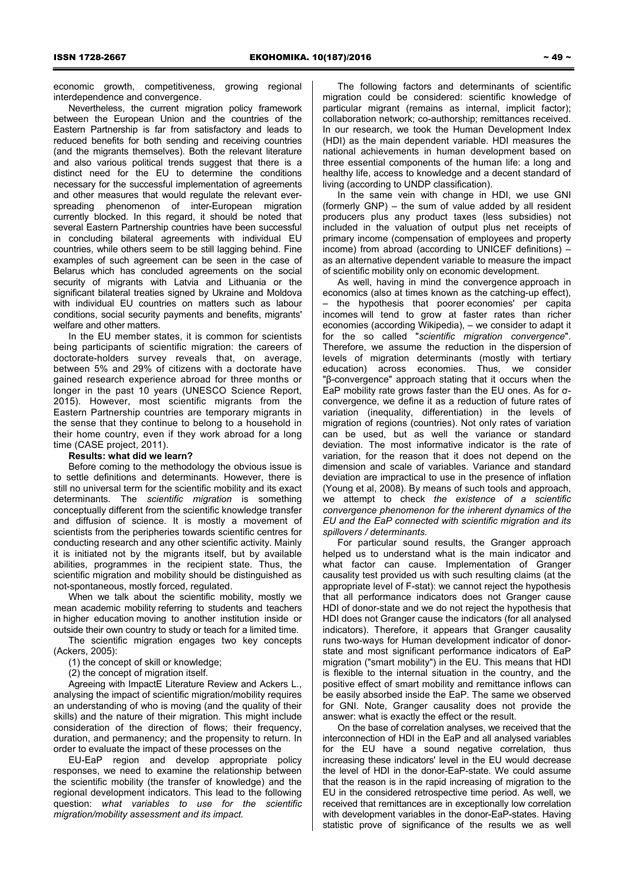economic growth, competitiveness, growing regional interdependence and convergence.

Nevertheless, the current migration policy framework between the European Union and the countries of the Eastern Partnership is far from satisfactory and leads to reduced benefits for both sending and receiving countries (and the migrants themselves). Both the relevant literature and also various political trends suggest that there is a distinct need for the EU to determine the conditions necessary for the successful implementation of agreements and other measures that would regulate the relevant everspreading phenomenon of inter-European migration currently blocked. In this regard, it should be noted that several Eastern Partnership countries have been successful in concluding bilateral agreements with individual EU countries, while others seem to be still lagging behind. Fine examples of such agreement can be seen in the case of Belarus which has concluded agreements on the social security of migrants with Latvia and Lithuania or the significant bilateral treaties signed by Ukraine and Moldova with individual EU countries on matters such as labour conditions, social security payments and benefits, migrants' welfare and other matters.

In the EU member states, it is common for scientists being participants of scientific migration: the careers of doctorate-holders survey reveals that, on average, between 5% and 29% of citizens with a doctorate have gained research experience abroad for three months or longer in the past 10 years (UNESCO Science Report, 2015). However, most scientific migrants from the Eastern Partnership countries are temporary migrants in the sense that they continue to belong to a household in their home country, even if they work abroad for a long time (CASE project, 2011).

### **Results: what did we learn?**

Before coming to the methodology the obvious issue is to settle definitions and determinants. However, there is still no universal term for the scientific mobility and its exact determinants. The *scientific migration* is something conceptually different from the scientific knowledge transfer and diffusion of science. It is mostly a movement of scientists from the peripheries towards scientific centres for conducting research and any other scientific activity. Mainly it is initiated not by the migrants itself, but by available abilities, programmes in the recipient state. Thus, the scientific migration and mobility should be distinguished as not-spontaneous, mostly forced, regulated.

When we talk about the scientific mobility, mostly we mean academic mobility referring to students and teachers in higher education moving to another institution inside or outside their own country to study or teach for a limited time.

The scientific migration engages two key concepts (Ackers, 2005):

(1) the concept of skill or knowledge;

(2) the concept of migration itself.

Agreeing with ImpactE Literature Review and Ackers L., analysing the impact of scientific migration/mobility requires an understanding of who is moving (and the quality of their skills) and the nature of their migration. This might include consideration of the direction of flows; their frequency, duration, and permanency; and the propensity to return. In order to evaluate the impact of these processes on the

EU-EaP region and develop appropriate policy responses, we need to examine the relationship between the scientific mobility (the transfer of knowledge) and the regional development indicators. This lead to the following question: *what variables to use for the scientific migration/mobility assessment and its impact.*

The following factors and determinants of scientific migration could be considered: scientific knowledge of particular migrant (remains as internal, implicit factor); collaboration network; co-authorship; remittances received. In our research, we took the Human Development Index (HDI) as the main dependent variable. HDI measures the national achievements in human development based on three essential components of the human life: a long and healthy life, access to knowledge and a decent standard of living (according to UNDP classification).

In the same vein with change in HDI, we use GNI (formerly GNP) – the sum of value added by all resident producers plus any product taxes (less subsidies) not included in the valuation of output plus net receipts of primary income (compensation of employees and property income) from abroad (according to UNICEF definitions) – as an alternative dependent variable to measure the impact of scientific mobility only on economic development.

As well, having in mind the convergence approach in economics (also at times known as the catching-up effect), – the hypothesis that poorer economies' per capita incomes will tend to grow at faster rates than richer economies (according Wikipedia), – we consider to adapt it for the so called "*scientific migration convergence*". Therefore, we assume the reduction in the dispersion of levels of migration determinants (mostly with tertiary education) across economies. Thus, we consider "β-convergence" approach stating that it occurs when the EaP mobility rate grows faster than the EU ones. As for σconvergence, we define it as a reduction of future rates of variation (inequality, differentiation) in the levels of migration of regions (countries). Not only rates of variation can be used, but as well the variance or standard deviation. The most informative indicator is the rate of variation, for the reason that it does not depend on the dimension and scale of variables. Variance and standard deviation are impractical to use in the presence of inflation (Young et al, 2008). By means of such tools and approach, we attempt to check *the existence of a scientific convergence phenomenon for the inherent dynamics of the EU and the EaP connected with scientific migration and its spillovers / determinants.* 

For particular sound results, the Granger approach helped us to understand what is the main indicator and what factor can cause. Implementation of Granger causality test provided us with such resulting claims (at the appropriate level of F-stat): we cannot reject the hypothesis that all performance indicators does not Granger cause HDI of donor-state and we do not reject the hypothesis that HDI does not Granger cause the indicators (for all analysed indicators). Therefore, it appears that Granger causality runs two-ways for Human development indicator of donorstate and most significant performance indicators of EaP migration ("smart mobility") in the EU. This means that HDI is flexible to the internal situation in the country, and the positive effect of smart mobility and remittance inflows can be easily absorbed inside the EaP. The same we observed for GNI. Note, Granger causality does not provide the answer: what is exactly the effect or the result.

On the base of correlation analyses, we received that the interconnection of HDI in the EaP and all analysed variables for the EU have a sound negative correlation, thus increasing these indicators' level in the EU would decrease the level of HDI in the donor-EaP-state. We could assume that the reason is in the rapid increasing of migration to the EU in the considered retrospective time period. As well, we received that remittances are in exceptionally low correlation with development variables in the donor-EaP-states. Having statistic prove of significance of the results we as well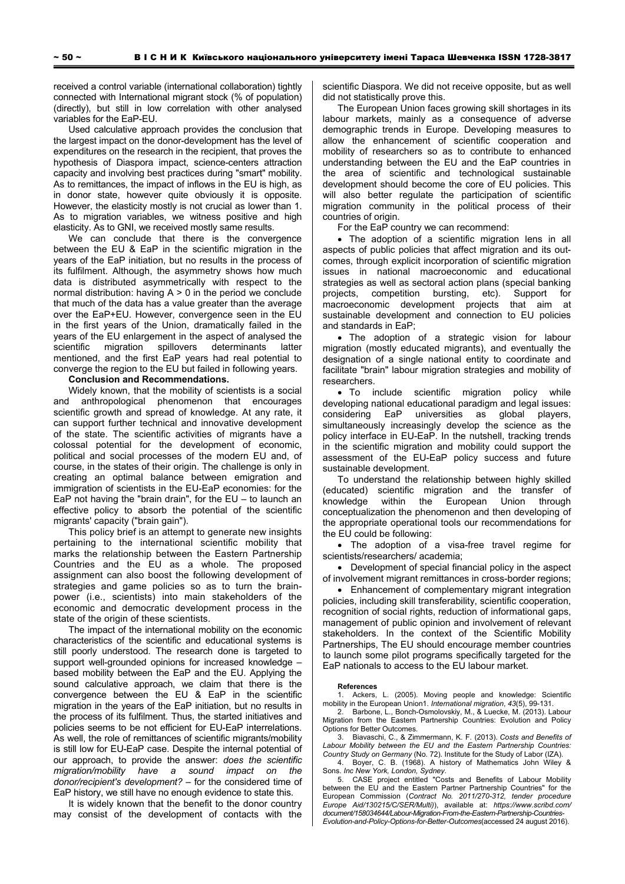received a control variable (international collaboration) tightly connected with International migrant stock (% of population) (directly), but still in low correlation with other analysed variables for the EaP-EU.

Used calculative approach provides the conclusion that the largest impact on the donor-development has the level of expenditures on the research in the recipient, that proves the hypothesis of Diaspora impact, science-centers attraction capacity and involving best practices during "smart" mobility. As to remittances, the impact of inflows in the EU is high, as in donor state, however quite obviously it is opposite. However, the elasticity mostly is not crucial as lower than 1. As to migration variables, we witness positive and high elasticity. As to GNI, we received mostly same results.

We can conclude that there is the convergence between the EU & EaP in the scientific migration in the years of the EaP initiation, but no results in the process of its fulfilment. Although, the asymmetry shows how much data is distributed asymmetrically with respect to the normal distribution: having A > 0 in the period we conclude that much of the data has a value greater than the average over the EaP+EU. However, convergence seen in the EU in the first years of the Union, dramatically failed in the years of the EU enlargement in the aspect of analysed the scientific migration spillovers determinants latter mentioned, and the first EaP years had real potential to converge the region to the EU but failed in following years.

# **Conclusion and Recommendations.**

Widely known, that the mobility of scientists is a social and anthropological phenomenon that encourages scientific growth and spread of knowledge. At any rate, it can support further technical and innovative development of the state. The scientific activities of migrants have a colossal potential for the development of economic, political and social processes of the modern EU and, of course, in the states of their origin. The challenge is only in creating an optimal balance between emigration and immigration of scientists in the EU-EaP economies: for the EaP not having the "brain drain", for the  $EU -$  to launch an effective policy to absorb the potential of the scientific migrants' capacity ("brain gain").

This policy brief is an attempt to generate new insights pertaining to the international scientific mobility that marks the relationship between the Eastern Partnership Countries and the EU as a whole. The proposed assignment can also boost the following development of strategies and game policies so as to turn the brainpower (i.e., scientists) into main stakeholders of the economic and democratic development process in the state of the origin of these scientists.

The impact of the international mobility on the economic characteristics of the scientific and educational systems is still poorly understood. The research done is targeted to support well-grounded opinions for increased knowledge – based mobility between the EaP and the EU. Applying the sound calculative approach, we claim that there is the convergence between the EU & EaP in the scientific migration in the years of the EaP initiation, but no results in the process of its fulfilment. Thus, the started initiatives and policies seems to be not efficient for EU-EaP interrelations. As well, the role of remittances of scientific migrants/mobility is still low for EU-EaP case. Despite the internal potential of our approach, to provide the answer: *does the scientific migration/mobility have a sound impact on the donor/recipient's development?* – for the considered time of EaP history, we still have no enough evidence to state this.

It is widely known that the benefit to the donor country may consist of the development of contacts with the

scientific Diaspora. We did not receive opposite, but as well did not statistically prove this.

The European Union faces growing skill shortages in its labour markets, mainly as a consequence of adverse demographic trends in Europe. Developing measures to allow the enhancement of scientific cooperation and mobility of researchers so as to contribute to enhanced understanding between the EU and the EaP countries in the area of scientific and technological sustainable development should become the core of EU policies. This will also better regulate the participation of scientific migration community in the political process of their countries of origin.

For the EaP country we can recommend:

• The adoption of a scientific migration lens in all aspects of public policies that affect migration and its outcomes, through explicit incorporation of scientific migration issues in national macroeconomic and educational strategies as well as sectoral action plans (special banking projects, competition bursting, etc). Support for macroeconomic development projects that aim at sustainable development and connection to EU policies and standards in EaP;

 The adoption of a strategic vision for labour migration (mostly educated migrants), and eventually the designation of a single national entity to coordinate and facilitate "brain" labour migration strategies and mobility of researchers.

 To include scientific migration policy while developing national educational paradigm and legal issues: considering EaP universities as global players, simultaneously increasingly develop the science as the policy interface in EU-EaP. In the nutshell, tracking trends in the scientific migration and mobility could support the assessment of the EU-EaP policy success and future sustainable development.

To understand the relationship between highly skilled (educated) scientific migration and the transfer of knowledge within the European Union through conceptualization the phenomenon and then developing of the appropriate operational tools our recommendations for the EU could be following:

 The adoption of a visa-free travel regime for scientists/researchers/ academia;

 Development of special financial policy in the aspect of involvement migrant remittances in cross-border regions;

 Enhancement of complementary migrant integration policies, including skill transferability, scientific cooperation, recognition of social rights, reduction of informational gaps, management of public opinion and involvement of relevant stakeholders. In the context of the Scientific Mobility Partnerships, The EU should encourage member countries to launch some pilot programs specifically targeted for the EaP nationals to access to the EU labour market.

#### **References**

Ackers, L. (2005). Moving people and knowledge: Scientific mobility in the European Union1. *International migration*, *43*(5), 99-131.

Barbone, L., Bonch-Osmolovskiy, M., & Luecke, M. (2013). Labour Migration from the Eastern Partnership Countries: Evolution and Policy Options for Better Outcomes.

3. Biavaschi, C., & Zimmermann, K. F. (2013). *Costs and Benefits of Labour Mobility between the EU and the Eastern Partnership Countries: Country Study on Germany* (No. 72). Institute for the Study of Labor (IZA).

Boyer, C. B. (1968). A history of Mathematics John Wiley & Sons. *Inc New York, London, Sydney*.

5. CASE project entitled "Costs and Benefits of Labour Mobility between the EU and the Eastern Partner Partnership Countries" for the European Commission (*Contract No. 2011/270-312, tender procedure Europe Aid/130215/C/SER/Multi)*), available at: *https://www.scribd.com/ document/158034644/Labour-Migration-From-the-Eastern-Partnership-Countries-Evolution-and-Policy-Options-for-Better-Outcomes*(accessed 24 august 2016).